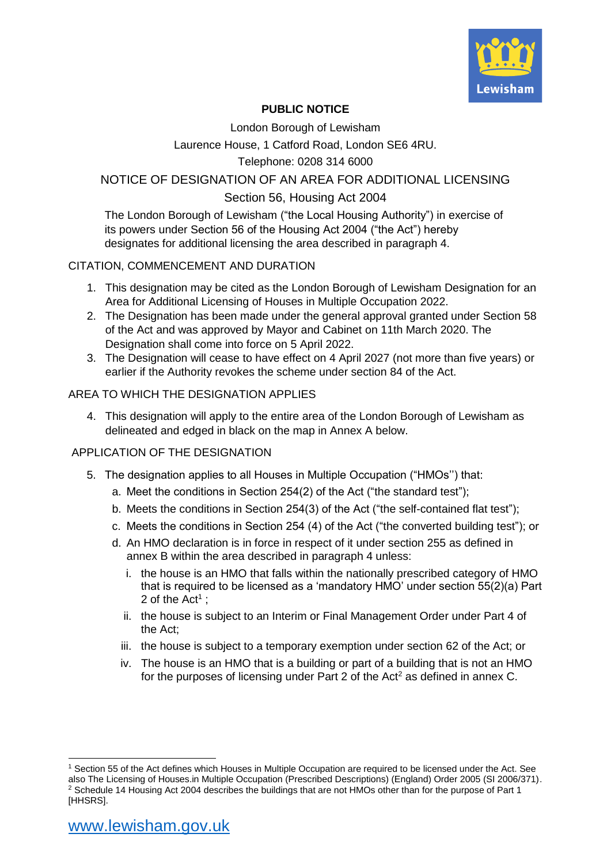

# **PUBLIC NOTICE**

London Borough of Lewisham

Laurence House, 1 Catford Road, London SE6 4RU.

### Telephone: 0208 314 6000

## NOTICE OF DESIGNATION OF AN AREA FOR ADDITIONAL LICENSING

# Section 56, Housing Act 2004

The London Borough of Lewisham ("the Local Housing Authority") in exercise of its powers under Section 56 of the Housing Act 2004 ("the Act") hereby designates for additional licensing the area described in paragraph 4.

#### CITATION, COMMENCEMENT AND DURATION

- 1. This designation may be cited as the London Borough of Lewisham Designation for an Area for Additional Licensing of Houses in Multiple Occupation 2022.
- 2. The Designation has been made under the general approval granted under Section 58 of the Act and was approved by Mayor and Cabinet on 11th March 2020. The Designation shall come into force on 5 April 2022.
- 3. The Designation will cease to have effect on 4 April 2027 (not more than five years) or earlier if the Authority revokes the scheme under section 84 of the Act.

#### AREA TO WHICH THE DESIGNATION APPLIES

4. This designation will apply to the entire area of the London Borough of Lewisham as delineated and edged in black on the map in Annex A below.

## APPLICATION OF THE DESIGNATION

- 5. The designation applies to all Houses in Multiple Occupation ("HMOs'') that:
	- a. Meet the conditions in Section 254(2) of the Act ("the standard test");
	- b. Meets the conditions in Section 254(3) of the Act ("the self-contained flat test");
	- c. Meets the conditions in Section 254 (4) of the Act ("the converted building test"); or
	- d. An HMO declaration is in force in respect of it under section 255 as defined in annex B within the area described in paragraph 4 unless:
		- i. the house is an HMO that falls within the nationally prescribed category of HMO that is required to be licensed as a 'mandatory HMO' under section 55(2)(a) Part 2 of the Act<sup>1</sup> ;
		- ii. the house is subject to an Interim or Final Management Order under Part 4 of the Act;
		- iii. the house is subject to a temporary exemption under section 62 of the Act; or
		- iv. The house is an HMO that is a building or part of a building that is not an HMO for the purposes of licensing under Part 2 of the Act<sup>2</sup> as defined in annex C.

<sup>&</sup>lt;sup>1</sup> Section 55 of the Act defines which Houses in Multiple Occupation are required to be licensed under the Act. See also The Licensing of Houses.in Multiple Occupation (Prescribed Descriptions) (England) Order 2005 (SI 2006/371). <sup>2</sup> Schedule 14 Housing Act 2004 describes the buildings that are not HMOs other than for the purpose of Part 1 [HHSRS].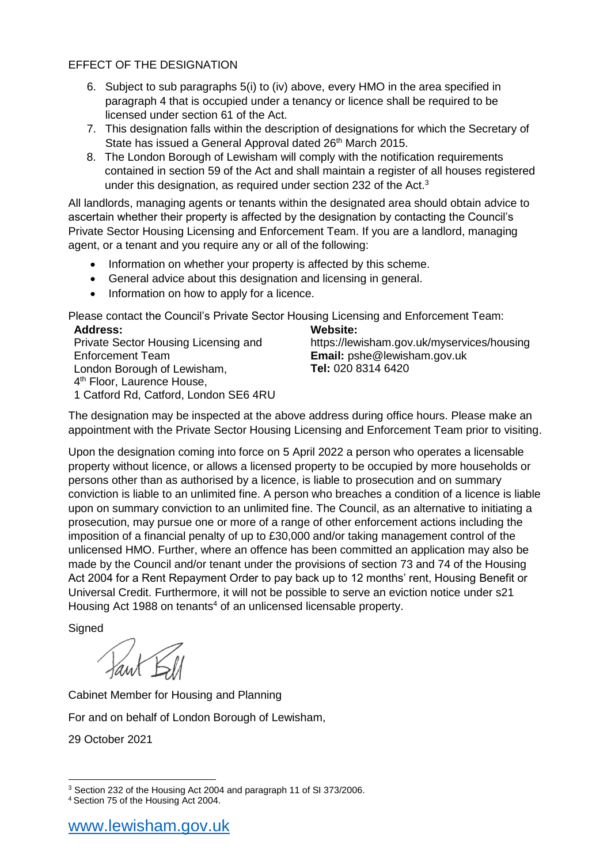## EFFECT OF THE DESIGNATION

- 6. Subject to sub paragraphs 5(i) to (iv) above, every HMO in the area specified in paragraph 4 that is occupied under a tenancy or licence shall be required to be licensed under section 61 of the Act.
- 7. This designation falls within the description of designations for which the Secretary of State has issued a General Approval dated 26<sup>th</sup> March 2015.
- 8. The London Borough of Lewisham will comply with the notification requirements contained in section 59 of the Act and shall maintain a register of all houses registered under this designation, as required under section 232 of the Act.<sup>3</sup>

All landlords, managing agents or tenants within the designated area should obtain advice to ascertain whether their property is affected by the designation by contacting the Council's Private Sector Housing Licensing and Enforcement Team. If you are a landlord, managing agent, or a tenant and you require any or all of the following:

- Information on whether your property is affected by this scheme.
- General advice about this designation and licensing in general.
- Information on how to apply for a licence.

Please contact the Council's Private Sector Housing Licensing and Enforcement Team: **Address: Website:**

| AUUI 695.                              | WEDSILE.                                   |
|----------------------------------------|--------------------------------------------|
| Private Sector Housing Licensing and   | https://lewisham.gov.uk/myservices/housing |
| <b>Enforcement Team</b>                | <b>Email:</b> pshe@lewisham.gov.uk         |
| London Borough of Lewisham,            | Tel: 020 8314 6420                         |
| 4 <sup>th</sup> Floor, Laurence House, |                                            |
| 1 Catford Rd, Catford, London SE6 4RU  |                                            |

The designation may be inspected at the above address during office hours. Please make an appointment with the Private Sector Housing Licensing and Enforcement Team prior to visiting.

Upon the designation coming into force on 5 April 2022 a person who operates a licensable property without licence, or allows a licensed property to be occupied by more households or persons other than as authorised by a licence, is liable to prosecution and on summary conviction is liable to an unlimited fine. A person who breaches a condition of a licence is liable upon on summary conviction to an unlimited fine. The Council, as an alternative to initiating a prosecution, may pursue one or more of a range of other enforcement actions including the imposition of a financial penalty of up to £30,000 and/or taking management control of the unlicensed HMO. Further, where an offence has been committed an application may also be made by the Council and/or tenant under the provisions of section 73 and 74 of the Housing Act 2004 for a Rent Repayment Order to pay back up to 12 months' rent, Housing Benefit or Universal Credit. Furthermore, it will not be possible to serve an eviction notice under s21 Housing Act 1988 on tenants<sup>4</sup> of an unlicensed licensable property.

**Signed** 

Cabinet Member for Housing and Planning For and on behalf of London Borough of Lewisham, 29 October 2021

 3 Section 232 of the Housing Act 2004 and paragraph 11 of SI 373/2006.

<sup>4</sup> Section 75 of the Housing Act 2004.